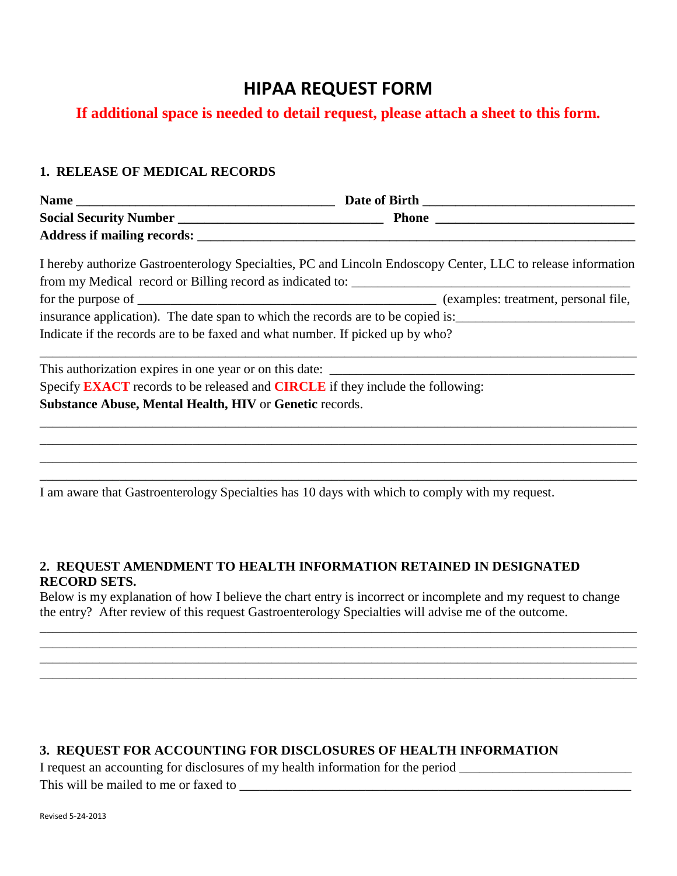# **HIPAA REQUEST FORM**

# **If additional space is needed to detail request, please attach a sheet to this form.**

#### **1. RELEASE OF MEDICAL RECORDS**

| <b>Name</b>                        | Date of Birth |  |
|------------------------------------|---------------|--|
| <b>Social Security Number</b>      | <b>Phone</b>  |  |
| <b>Address if mailing records:</b> |               |  |

| I hereby authorize Gastroenterology Specialties, PC and Lincoln Endoscopy Center, LLC to release information |                                      |
|--------------------------------------------------------------------------------------------------------------|--------------------------------------|
| from my Medical record or Billing record as indicated to:                                                    |                                      |
| for the purpose of                                                                                           | (examples: treatment, personal file, |
| insurance application). The date span to which the records are to be copied is:                              |                                      |
| Indicate if the records are to be faxed and what number. If picked up by who?                                |                                      |

\_\_\_\_\_\_\_\_\_\_\_\_\_\_\_\_\_\_\_\_\_\_\_\_\_\_\_\_\_\_\_\_\_\_\_\_\_\_\_\_\_\_\_\_\_\_\_\_\_\_\_\_\_\_\_\_\_\_\_\_\_\_\_\_\_\_\_\_\_\_\_\_\_\_\_\_\_\_\_\_\_\_\_\_\_\_\_\_\_\_

\_\_\_\_\_\_\_\_\_\_\_\_\_\_\_\_\_\_\_\_\_\_\_\_\_\_\_\_\_\_\_\_\_\_\_\_\_\_\_\_\_\_\_\_\_\_\_\_\_\_\_\_\_\_\_\_\_\_\_\_\_\_\_\_\_\_\_\_\_\_\_\_\_\_\_\_\_\_\_\_\_\_\_\_\_\_\_\_\_\_ \_\_\_\_\_\_\_\_\_\_\_\_\_\_\_\_\_\_\_\_\_\_\_\_\_\_\_\_\_\_\_\_\_\_\_\_\_\_\_\_\_\_\_\_\_\_\_\_\_\_\_\_\_\_\_\_\_\_\_\_\_\_\_\_\_\_\_\_\_\_\_\_\_\_\_\_\_\_\_\_\_\_\_\_\_\_\_\_\_\_ \_\_\_\_\_\_\_\_\_\_\_\_\_\_\_\_\_\_\_\_\_\_\_\_\_\_\_\_\_\_\_\_\_\_\_\_\_\_\_\_\_\_\_\_\_\_\_\_\_\_\_\_\_\_\_\_\_\_\_\_\_\_\_\_\_\_\_\_\_\_\_\_\_\_\_\_\_\_\_\_\_\_\_\_\_\_\_\_\_\_ \_\_\_\_\_\_\_\_\_\_\_\_\_\_\_\_\_\_\_\_\_\_\_\_\_\_\_\_\_\_\_\_\_\_\_\_\_\_\_\_\_\_\_\_\_\_\_\_\_\_\_\_\_\_\_\_\_\_\_\_\_\_\_\_\_\_\_\_\_\_\_\_\_\_\_\_\_\_\_\_\_\_\_\_\_\_\_\_\_\_

This authorization expires in one year or on this date: \_\_\_\_\_\_\_\_\_\_\_\_\_\_\_\_\_\_\_\_\_\_\_\_ Specify **EXACT** records to be released and **CIRCLE** if they include the following: **Substance Abuse, Mental Health, HIV** or **Genetic** records.

I am aware that Gastroenterology Specialties has 10 days with which to comply with my request.

## **2. REQUEST AMENDMENT TO HEALTH INFORMATION RETAINED IN DESIGNATED RECORD SETS.**

Below is my explanation of how I believe the chart entry is incorrect or incomplete and my request to change the entry? After review of this request Gastroenterology Specialties will advise me of the outcome.

\_\_\_\_\_\_\_\_\_\_\_\_\_\_\_\_\_\_\_\_\_\_\_\_\_\_\_\_\_\_\_\_\_\_\_\_\_\_\_\_\_\_\_\_\_\_\_\_\_\_\_\_\_\_\_\_\_\_\_\_\_\_\_\_\_\_\_\_\_\_\_\_\_\_\_\_\_\_\_\_\_\_\_\_\_\_\_\_\_\_ \_\_\_\_\_\_\_\_\_\_\_\_\_\_\_\_\_\_\_\_\_\_\_\_\_\_\_\_\_\_\_\_\_\_\_\_\_\_\_\_\_\_\_\_\_\_\_\_\_\_\_\_\_\_\_\_\_\_\_\_\_\_\_\_\_\_\_\_\_\_\_\_\_\_\_\_\_\_\_\_\_\_\_\_\_\_\_\_\_\_ \_\_\_\_\_\_\_\_\_\_\_\_\_\_\_\_\_\_\_\_\_\_\_\_\_\_\_\_\_\_\_\_\_\_\_\_\_\_\_\_\_\_\_\_\_\_\_\_\_\_\_\_\_\_\_\_\_\_\_\_\_\_\_\_\_\_\_\_\_\_\_\_\_\_\_\_\_\_\_\_\_\_\_\_\_\_\_\_\_\_ \_\_\_\_\_\_\_\_\_\_\_\_\_\_\_\_\_\_\_\_\_\_\_\_\_\_\_\_\_\_\_\_\_\_\_\_\_\_\_\_\_\_\_\_\_\_\_\_\_\_\_\_\_\_\_\_\_\_\_\_\_\_\_\_\_\_\_\_\_\_\_\_\_\_\_\_\_\_\_\_\_\_\_\_\_\_\_\_\_\_

#### **3. REQUEST FOR ACCOUNTING FOR DISCLOSURES OF HEALTH INFORMATION**

I request an accounting for disclosures of my health information for the period  $\Box$ 

This will be mailed to me or faxed to \_\_\_\_\_\_\_\_\_\_\_\_\_\_\_\_\_\_\_\_\_\_\_\_\_\_\_\_\_\_\_\_\_\_\_\_\_\_\_\_\_\_\_\_\_\_\_\_\_\_\_\_\_\_\_\_\_\_\_